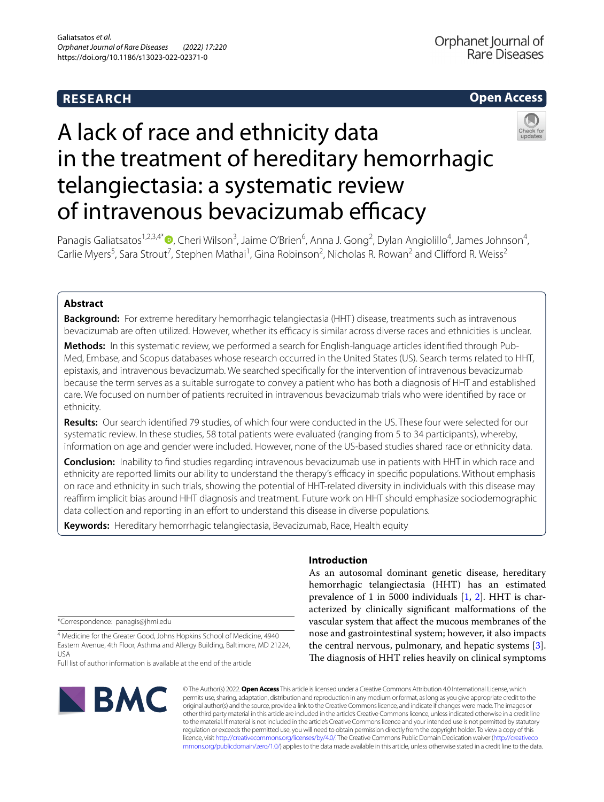# **RESEARCH**

# **Open Access**



# A lack of race and ethnicity data in the treatment of hereditary hemorrhagic telangiectasia: a systematic review of intravenous bevacizumab efficacy

Panagis Galiatsatos<sup>1,2,3,4[\\*](http://orcid.org/0000-0001-8309-0985)</sup><sup>®</sup>, Cheri Wilson<sup>3</sup>, Jaime O'Brien<sup>6</sup>, Anna J. Gong<sup>2</sup>, Dylan Angiolillo<sup>4</sup>, James Johnson<sup>4</sup>, Carlie Myers<sup>5</sup>, Sara Strout<sup>7</sup>, Stephen Mathai<sup>1</sup>, Gina Robinson<sup>2</sup>, Nicholas R. Rowan<sup>2</sup> and Clifford R. Weiss<sup>2</sup>

# **Abstract**

**Background:** For extreme hereditary hemorrhagic telangiectasia (HHT) disease, treatments such as intravenous bevacizumab are often utilized. However, whether its efficacy is similar across diverse races and ethnicities is unclear.

**Methods:** In this systematic review, we performed a search for English-language articles identifed through Pub-Med, Embase, and Scopus databases whose research occurred in the United States (US). Search terms related to HHT, epistaxis, and intravenous bevacizumab. We searched specifcally for the intervention of intravenous bevacizumab because the term serves as a suitable surrogate to convey a patient who has both a diagnosis of HHT and established care. We focused on number of patients recruited in intravenous bevacizumab trials who were identifed by race or ethnicity.

**Results:** Our search identifed 79 studies, of which four were conducted in the US. These four were selected for our systematic review. In these studies, 58 total patients were evaluated (ranging from 5 to 34 participants), whereby, information on age and gender were included. However, none of the US-based studies shared race or ethnicity data.

**Conclusion:** Inability to fnd studies regarding intravenous bevacizumab use in patients with HHT in which race and ethnicity are reported limits our ability to understand the therapy's efficacy in specific populations. Without emphasis on race and ethnicity in such trials, showing the potential of HHT-related diversity in individuals with this disease may reafrm implicit bias around HHT diagnosis and treatment. Future work on HHT should emphasize sociodemographic data collection and reporting in an efort to understand this disease in diverse populations.

**Keywords:** Hereditary hemorrhagic telangiectasia, Bevacizumab, Race, Health equity

\*Correspondence: panagis@jhmi.edu

4 Medicine for the Greater Good, Johns Hopkins School of Medicine, 4940 Eastern Avenue, 4th Floor, Asthma and Allergy Building, Baltimore, MD 21224, USA

Full list of author information is available at the end of the article



# **Introduction**

As an autosomal dominant genetic disease, hereditary hemorrhagic telangiectasia (HHT) has an estimated prevalence of 1 in 5000 individuals [[1,](#page-4-0) [2](#page-4-1)]. HHT is characterized by clinically signifcant malformations of the vascular system that afect the mucous membranes of the nose and gastrointestinal system; however, it also impacts the central nervous, pulmonary, and hepatic systems [\[3](#page-4-2)]. The diagnosis of HHT relies heavily on clinical symptoms

© The Author(s) 2022. **Open Access** This article is licensed under a Creative Commons Attribution 4.0 International License, which permits use, sharing, adaptation, distribution and reproduction in any medium or format, as long as you give appropriate credit to the original author(s) and the source, provide a link to the Creative Commons licence, and indicate if changes were made. The images or other third party material in this article are included in the article's Creative Commons licence, unless indicated otherwise in a credit line to the material. If material is not included in the article's Creative Commons licence and your intended use is not permitted by statutory regulation or exceeds the permitted use, you will need to obtain permission directly from the copyright holder. To view a copy of this licence, visit [http://creativecommons.org/licenses/by/4.0/.](http://creativecommons.org/licenses/by/4.0/) The Creative Commons Public Domain Dedication waiver ([http://creativeco](http://creativecommons.org/publicdomain/zero/1.0/) [mmons.org/publicdomain/zero/1.0/](http://creativecommons.org/publicdomain/zero/1.0/)) applies to the data made available in this article, unless otherwise stated in a credit line to the data.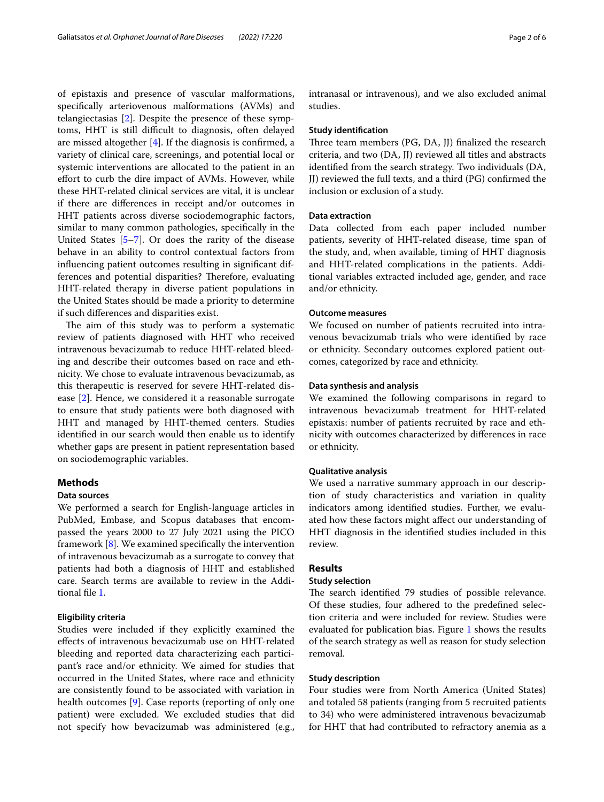of epistaxis and presence of vascular malformations, specifcally arteriovenous malformations (AVMs) and telangiectasias [[2\]](#page-4-1). Despite the presence of these symptoms, HHT is still difficult to diagnosis, often delayed are missed altogether  $[4]$  $[4]$ . If the diagnosis is confirmed, a variety of clinical care, screenings, and potential local or systemic interventions are allocated to the patient in an effort to curb the dire impact of AVMs. However, while these HHT-related clinical services are vital, it is unclear if there are diferences in receipt and/or outcomes in HHT patients across diverse sociodemographic factors, similar to many common pathologies, specifcally in the United States [\[5](#page-4-4)[–7](#page-4-5)]. Or does the rarity of the disease behave in an ability to control contextual factors from infuencing patient outcomes resulting in signifcant differences and potential disparities? Therefore, evaluating HHT-related therapy in diverse patient populations in the United States should be made a priority to determine if such diferences and disparities exist.

The aim of this study was to perform a systematic review of patients diagnosed with HHT who received intravenous bevacizumab to reduce HHT-related bleeding and describe their outcomes based on race and ethnicity. We chose to evaluate intravenous bevacizumab, as this therapeutic is reserved for severe HHT-related disease [[2](#page-4-1)]. Hence, we considered it a reasonable surrogate to ensure that study patients were both diagnosed with HHT and managed by HHT-themed centers. Studies identifed in our search would then enable us to identify whether gaps are present in patient representation based on sociodemographic variables.

#### **Methods**

#### **Data sources**

We performed a search for English-language articles in PubMed, Embase, and Scopus databases that encompassed the years 2000 to 27 July 2021 using the PICO framework  $[8]$  $[8]$ . We examined specifically the intervention of intravenous bevacizumab as a surrogate to convey that patients had both a diagnosis of HHT and established care. Search terms are available to review in the Additional fle [1](#page-4-7).

# **Eligibility criteria**

Studies were included if they explicitly examined the efects of intravenous bevacizumab use on HHT-related bleeding and reported data characterizing each participant's race and/or ethnicity. We aimed for studies that occurred in the United States, where race and ethnicity are consistently found to be associated with variation in health outcomes [[9\]](#page-4-8). Case reports (reporting of only one patient) were excluded. We excluded studies that did not specify how bevacizumab was administered (e.g., intranasal or intravenous), and we also excluded animal studies.

#### **Study identifcation**

Three team members (PG, DA, JJ) finalized the research criteria, and two (DA, JJ) reviewed all titles and abstracts identifed from the search strategy. Two individuals (DA, JJ) reviewed the full texts, and a third (PG) confrmed the inclusion or exclusion of a study.

#### **Data extraction**

Data collected from each paper included number patients, severity of HHT-related disease, time span of the study, and, when available, timing of HHT diagnosis and HHT-related complications in the patients. Additional variables extracted included age, gender, and race and/or ethnicity.

# **Outcome measures**

We focused on number of patients recruited into intravenous bevacizumab trials who were identifed by race or ethnicity. Secondary outcomes explored patient outcomes, categorized by race and ethnicity.

# **Data synthesis and analysis**

We examined the following comparisons in regard to intravenous bevacizumab treatment for HHT-related epistaxis: number of patients recruited by race and ethnicity with outcomes characterized by diferences in race or ethnicity.

### **Qualitative analysis**

We used a narrative summary approach in our description of study characteristics and variation in quality indicators among identifed studies. Further, we evaluated how these factors might afect our understanding of HHT diagnosis in the identifed studies included in this review.

# **Results**

# **Study selection**

The search identified 79 studies of possible relevance. Of these studies, four adhered to the predefned selection criteria and were included for review. Studies were evaluated for publication bias. Figure [1](#page-2-0) shows the results of the search strategy as well as reason for study selection removal.

### **Study description**

Four studies were from North America (United States) and totaled 58 patients (ranging from 5 recruited patients to 34) who were administered intravenous bevacizumab for HHT that had contributed to refractory anemia as a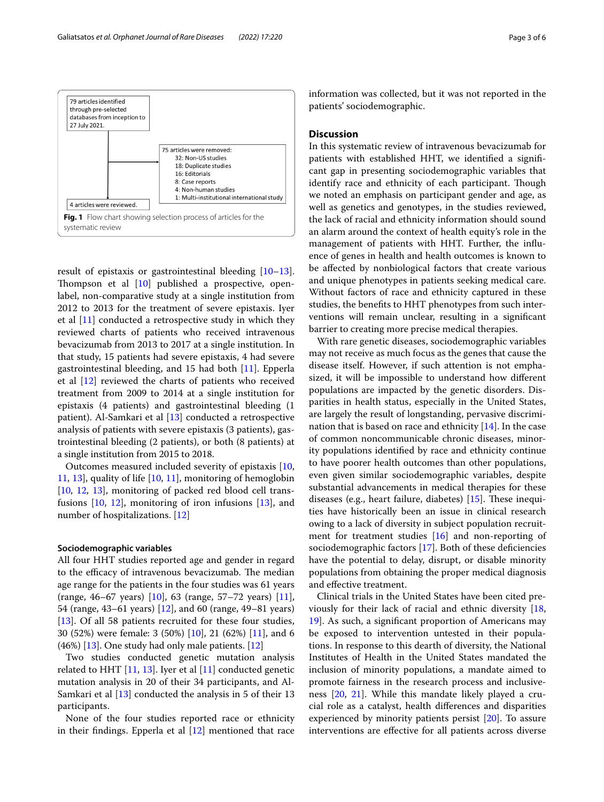

<span id="page-2-0"></span>result of epistaxis or gastrointestinal bleeding [[10](#page-4-9)[–13](#page-4-10)]. Thompson et al  $[10]$  published a prospective, openlabel, non-comparative study at a single institution from 2012 to 2013 for the treatment of severe epistaxis. Iyer et al  $[11]$  conducted a retrospective study in which they reviewed charts of patients who received intravenous bevacizumab from 2013 to 2017 at a single institution. In that study, 15 patients had severe epistaxis, 4 had severe gastrointestinal bleeding, and 15 had both [[11](#page-4-11)]. Epperla et al  $[12]$  $[12]$  reviewed the charts of patients who received treatment from 2009 to 2014 at a single institution for epistaxis (4 patients) and gastrointestinal bleeding (1 patient). Al-Samkari et al [\[13](#page-4-10)] conducted a retrospective analysis of patients with severe epistaxis (3 patients), gastrointestinal bleeding (2 patients), or both (8 patients) at a single institution from 2015 to 2018.

Outcomes measured included severity of epistaxis [\[10](#page-4-9), [11,](#page-4-11) [13](#page-4-10)], quality of life [\[10,](#page-4-9) [11\]](#page-4-11), monitoring of hemoglobin [[10,](#page-4-9) [12](#page-4-12), [13](#page-4-10)], monitoring of packed red blood cell transfusions [\[10,](#page-4-9) [12\]](#page-4-12), monitoring of iron infusions [\[13\]](#page-4-10), and number of hospitalizations. [\[12](#page-4-12)]

#### **Sociodemographic variables**

All four HHT studies reported age and gender in regard to the efficacy of intravenous bevacizumab. The median age range for the patients in the four studies was 61 years (range, 46–67 years) [[10](#page-4-9)], 63 (range, 57–72 years) [\[11](#page-4-11)], 54 (range, 43–61 years) [[12](#page-4-12)], and 60 (range, 49–81 years) [[13\]](#page-4-10). Of all 58 patients recruited for these four studies, 30 (52%) were female: 3 (50%) [\[10](#page-4-9)], 21 (62%) [[11\]](#page-4-11), and 6  $(46%)$  [\[13](#page-4-10)]. One study had only male patients. [\[12\]](#page-4-12)

Two studies conducted genetic mutation analysis related to HHT  $[11, 13]$  $[11, 13]$  $[11, 13]$  $[11, 13]$ . Iyer et al  $[11]$  $[11]$  conducted genetic mutation analysis in 20 of their 34 participants, and Al-Samkari et al [[13\]](#page-4-10) conducted the analysis in 5 of their 13 participants.

None of the four studies reported race or ethnicity in their findings. Epperla et al  $[12]$  $[12]$  mentioned that race information was collected, but it was not reported in the patients' sociodemographic.

# **Discussion**

In this systematic review of intravenous bevacizumab for patients with established HHT, we identifed a signifcant gap in presenting sociodemographic variables that identify race and ethnicity of each participant. Though we noted an emphasis on participant gender and age, as well as genetics and genotypes, in the studies reviewed, the lack of racial and ethnicity information should sound an alarm around the context of health equity's role in the management of patients with HHT. Further, the infuence of genes in health and health outcomes is known to be afected by nonbiological factors that create various and unique phenotypes in patients seeking medical care. Without factors of race and ethnicity captured in these studies, the benefts to HHT phenotypes from such interventions will remain unclear, resulting in a signifcant barrier to creating more precise medical therapies.

With rare genetic diseases, sociodemographic variables may not receive as much focus as the genes that cause the disease itself. However, if such attention is not emphasized, it will be impossible to understand how diferent populations are impacted by the genetic disorders. Disparities in health status, especially in the United States, are largely the result of longstanding, pervasive discrimination that is based on race and ethnicity  $[14]$  $[14]$ . In the case of common noncommunicable chronic diseases, minority populations identifed by race and ethnicity continue to have poorer health outcomes than other populations, even given similar sociodemographic variables, despite substantial advancements in medical therapies for these diseases (e.g., heart failure, diabetes)  $[15]$  $[15]$ . These inequities have historically been an issue in clinical research owing to a lack of diversity in subject population recruitment for treatment studies [\[16](#page-4-15)] and non-reporting of sociodemographic factors  $[17]$  $[17]$ . Both of these deficiencies have the potential to delay, disrupt, or disable minority populations from obtaining the proper medical diagnosis and efective treatment.

Clinical trials in the United States have been cited previously for their lack of racial and ethnic diversity [[18](#page-5-0), [19\]](#page-5-1). As such, a signifcant proportion of Americans may be exposed to intervention untested in their populations. In response to this dearth of diversity, the National Institutes of Health in the United States mandated the inclusion of minority populations, a mandate aimed to promote fairness in the research process and inclusiveness [[20,](#page-5-2) [21](#page-5-3)]. While this mandate likely played a crucial role as a catalyst, health diferences and disparities experienced by minority patients persist [[20\]](#page-5-2). To assure interventions are efective for all patients across diverse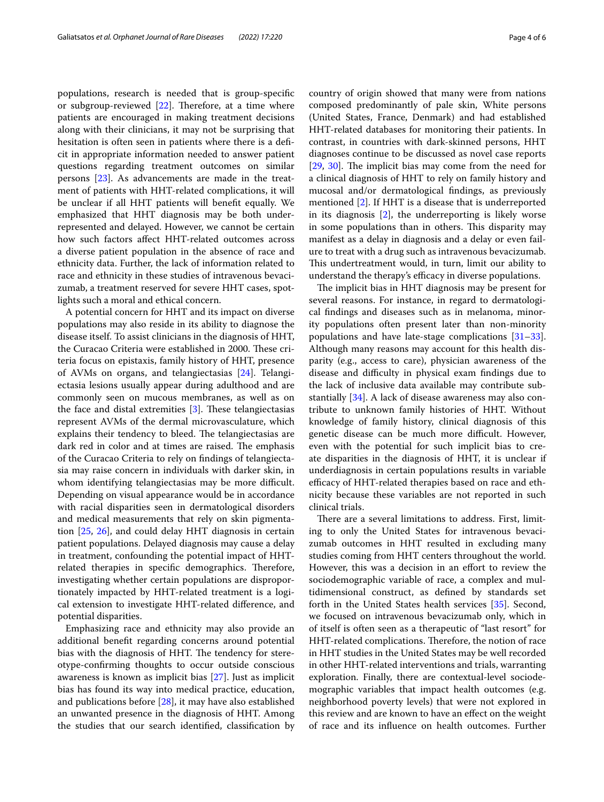populations, research is needed that is group-specifc or subgroup-reviewed  $[22]$  $[22]$  $[22]$ . Therefore, at a time where patients are encouraged in making treatment decisions along with their clinicians, it may not be surprising that hesitation is often seen in patients where there is a defcit in appropriate information needed to answer patient questions regarding treatment outcomes on similar persons [\[23](#page-5-5)]. As advancements are made in the treatment of patients with HHT-related complications, it will be unclear if all HHT patients will beneft equally. We emphasized that HHT diagnosis may be both underrepresented and delayed. However, we cannot be certain how such factors afect HHT-related outcomes across a diverse patient population in the absence of race and ethnicity data. Further, the lack of information related to race and ethnicity in these studies of intravenous bevacizumab, a treatment reserved for severe HHT cases, spotlights such a moral and ethical concern.

A potential concern for HHT and its impact on diverse populations may also reside in its ability to diagnose the disease itself. To assist clinicians in the diagnosis of HHT, the Curacao Criteria were established in 2000. These criteria focus on epistaxis, family history of HHT, presence of AVMs on organs, and telangiectasias [\[24\]](#page-5-6). Telangiectasia lesions usually appear during adulthood and are commonly seen on mucous membranes, as well as on the face and distal extremities  $[3]$  $[3]$ . These telangiectasias represent AVMs of the dermal microvasculature, which explains their tendency to bleed. The telangiectasias are dark red in color and at times are raised. The emphasis of the Curacao Criteria to rely on fndings of telangiectasia may raise concern in individuals with darker skin, in whom identifying telangiectasias may be more difficult. Depending on visual appearance would be in accordance with racial disparities seen in dermatological disorders and medical measurements that rely on skin pigmentation [[25,](#page-5-7) [26](#page-5-8)], and could delay HHT diagnosis in certain patient populations. Delayed diagnosis may cause a delay in treatment, confounding the potential impact of HHTrelated therapies in specific demographics. Therefore, investigating whether certain populations are disproportionately impacted by HHT-related treatment is a logical extension to investigate HHT-related diference, and potential disparities.

Emphasizing race and ethnicity may also provide an additional beneft regarding concerns around potential bias with the diagnosis of HHT. The tendency for stereotype-confrming thoughts to occur outside conscious awareness is known as implicit bias [[27\]](#page-5-9). Just as implicit bias has found its way into medical practice, education, and publications before [[28\]](#page-5-10), it may have also established an unwanted presence in the diagnosis of HHT. Among the studies that our search identifed, classifcation by country of origin showed that many were from nations composed predominantly of pale skin, White persons (United States, France, Denmark) and had established HHT-related databases for monitoring their patients. In contrast, in countries with dark-skinned persons, HHT diagnoses continue to be discussed as novel case reports  $[29, 30]$  $[29, 30]$  $[29, 30]$  $[29, 30]$  $[29, 30]$ . The implicit bias may come from the need for a clinical diagnosis of HHT to rely on family history and mucosal and/or dermatological fndings, as previously mentioned [\[2](#page-4-1)]. If HHT is a disease that is underreported in its diagnosis [[2](#page-4-1)], the underreporting is likely worse in some populations than in others. This disparity may manifest as a delay in diagnosis and a delay or even failure to treat with a drug such as intravenous bevacizumab. This undertreatment would, in turn, limit our ability to understand the therapy's efficacy in diverse populations.

The implicit bias in HHT diagnosis may be present for several reasons. For instance, in regard to dermatological fndings and diseases such as in melanoma, minority populations often present later than non-minority populations and have late-stage complications [[31](#page-5-13)[–33](#page-5-14)]. Although many reasons may account for this health disparity (e.g., access to care), physician awareness of the disease and difculty in physical exam fndings due to the lack of inclusive data available may contribute substantially [[34](#page-5-15)]. A lack of disease awareness may also contribute to unknown family histories of HHT. Without knowledge of family history, clinical diagnosis of this genetic disease can be much more difficult. However, even with the potential for such implicit bias to create disparities in the diagnosis of HHT, it is unclear if underdiagnosis in certain populations results in variable efficacy of HHT-related therapies based on race and ethnicity because these variables are not reported in such clinical trials.

There are a several limitations to address. First, limiting to only the United States for intravenous bevacizumab outcomes in HHT resulted in excluding many studies coming from HHT centers throughout the world. However, this was a decision in an effort to review the sociodemographic variable of race, a complex and multidimensional construct, as defned by standards set forth in the United States health services [\[35](#page-5-16)]. Second, we focused on intravenous bevacizumab only, which in of itself is often seen as a therapeutic of "last resort" for HHT-related complications. Therefore, the notion of race in HHT studies in the United States may be well recorded in other HHT-related interventions and trials, warranting exploration. Finally, there are contextual-level sociodemographic variables that impact health outcomes (e.g. neighborhood poverty levels) that were not explored in this review and are known to have an efect on the weight of race and its infuence on health outcomes. Further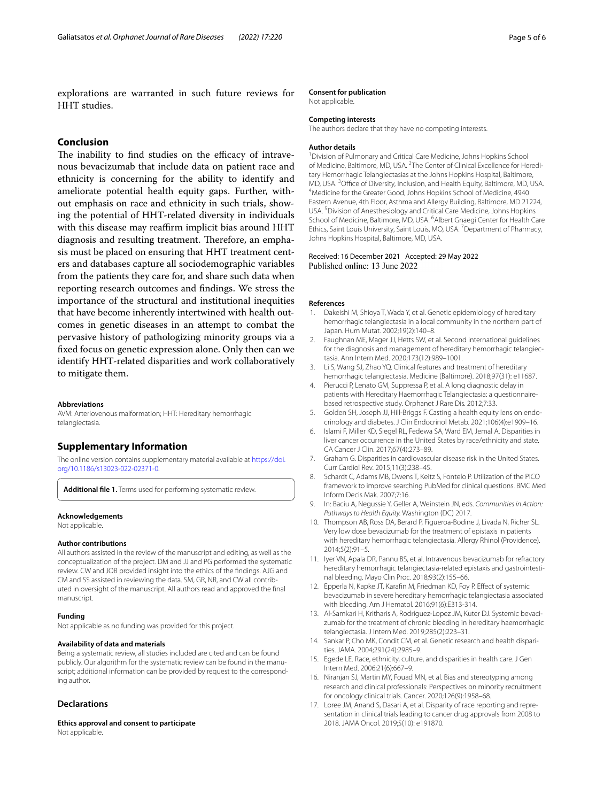explorations are warranted in such future reviews for HHT studies.

# **Conclusion**

The inability to find studies on the efficacy of intravenous bevacizumab that include data on patient race and ethnicity is concerning for the ability to identify and ameliorate potential health equity gaps. Further, without emphasis on race and ethnicity in such trials, showing the potential of HHT-related diversity in individuals with this disease may reaffirm implicit bias around HHT diagnosis and resulting treatment. Therefore, an emphasis must be placed on ensuring that HHT treatment centers and databases capture all sociodemographic variables from the patients they care for, and share such data when reporting research outcomes and fndings. We stress the importance of the structural and institutional inequities that have become inherently intertwined with health outcomes in genetic diseases in an attempt to combat the pervasive history of pathologizing minority groups via a fxed focus on genetic expression alone. Only then can we identify HHT-related disparities and work collaboratively to mitigate them.

#### **Abbreviations**

AVM: Arteriovenous malformation; HHT: Hereditary hemorrhagic telangiectasia.

# **Supplementary Information**

The online version contains supplementary material available at [https://doi.](https://doi.org/10.1186/s13023-022-02371-0) [org/10.1186/s13023-022-02371-0](https://doi.org/10.1186/s13023-022-02371-0).

<span id="page-4-7"></span>**Additional fle 1.** Terms used for performing systematic review.

#### **Acknowledgements**

Not applicable.

#### **Author contributions**

All authors assisted in the review of the manuscript and editing, as well as the conceptualization of the project. DM and JJ and PG performed the systematic review. CW and JOB provided insight into the ethics of the fndings. AJG and CM and SS assisted in reviewing the data. SM, GR, NR, and CW all contributed in oversight of the manuscript. All authors read and approved the fnal manuscript.

#### **Funding**

Not applicable as no funding was provided for this project.

#### **Availability of data and materials**

Being a systematic review, all studies included are cited and can be found publicly. Our algorithm for the systematic review can be found in the manuscript; additional information can be provided by request to the corresponding author.

## **Declarations**

**Ethics approval and consent to participate** Not applicable.

#### **Consent for publication**

Not applicable.

# **Competing interests**

The authors declare that they have no competing interests.

#### **Author details**

<sup>1</sup> Division of Pulmonary and Critical Care Medicine, Johns Hopkins School of Medicine, Baltimore, MD, USA. <sup>2</sup>The Center of Clinical Excellence for Hereditary Hemorrhagic Telangiectasias at the Johns Hopkins Hospital, Baltimore, MD, USA. <sup>3</sup> Office of Diversity, Inclusion, and Health Equity, Baltimore, MD, USA.<br><sup>4</sup> Medicine for the Greater Good, Johns Hopkins School of Medicine, 4940. Medicine for the Greater Good, Johns Hopkins School of Medicine, 4940 Eastern Avenue, 4th Floor, Asthma and Allergy Building, Baltimore, MD 21224, USA. 5 Division of Anesthesiology and Critical Care Medicine, Johns Hopkins School of Medicine, Baltimore, MD, USA. <sup>6</sup> Albert Gnaegi Center for Health Care Ethics, Saint Louis University, Saint Louis, MO, USA. <sup>7</sup> Department of Pharmacy, Johns Hopkins Hospital, Baltimore, MD, USA.

#### Received: 16 December 2021 Accepted: 29 May 2022 Published online: 13 June 2022

### **References**

- <span id="page-4-0"></span>1. Dakeishi M, Shioya T, Wada Y, et al. Genetic epidemiology of hereditary hemorrhagic telangiectasia in a local community in the northern part of Japan. Hum Mutat. 2002;19(2):140–8.
- <span id="page-4-1"></span>2. Faughnan ME, Mager JJ, Hetts SW, et al. Second international guidelines for the diagnosis and management of hereditary hemorrhagic telangiectasia. Ann Intern Med. 2020;173(12):989–1001.
- <span id="page-4-2"></span>3. Li S, Wang SJ, Zhao YQ. Clinical features and treatment of hereditary hemorrhagic telangiectasia. Medicine (Baltimore). 2018;97(31): e11687.
- <span id="page-4-3"></span>4. Pierucci P, Lenato GM, Suppressa P, et al. A long diagnostic delay in patients with Hereditary Haemorrhagic Telangiectasia: a questionnairebased retrospective study. Orphanet J Rare Dis. 2012;7:33.
- <span id="page-4-4"></span>5. Golden SH, Joseph JJ, Hill-Briggs F. Casting a health equity lens on endocrinology and diabetes. J Clin Endocrinol Metab. 2021;106(4):e1909–16.
- 6. Islami F, Miller KD, Siegel RL, Fedewa SA, Ward EM, Jemal A. Disparities in liver cancer occurrence in the United States by race/ethnicity and state. CA Cancer J Clin. 2017;67(4):273–89.
- <span id="page-4-5"></span>7. Graham G. Disparities in cardiovascular disease risk in the United States. Curr Cardiol Rev. 2015;11(3):238–45.
- <span id="page-4-6"></span>8. Schardt C, Adams MB, Owens T, Keitz S, Fontelo P. Utilization of the PICO framework to improve searching PubMed for clinical questions. BMC Med Inform Decis Mak. 2007;7:16.
- <span id="page-4-8"></span>9. In: Baciu A, Negussie Y, Geller A, Weinstein JN, eds. *Communities in Action: Pathways to Health Equity.* Washington (DC) 2017.
- <span id="page-4-9"></span>10. Thompson AB, Ross DA, Berard P, Figueroa-Bodine J, Livada N, Richer SL. Very low dose bevacizumab for the treatment of epistaxis in patients with hereditary hemorrhagic telangiectasia. Allergy Rhinol (Providence). 2014;5(2):91–5.
- <span id="page-4-11"></span>11. Iyer VN, Apala DR, Pannu BS, et al. Intravenous bevacizumab for refractory hereditary hemorrhagic telangiectasia-related epistaxis and gastrointestinal bleeding. Mayo Clin Proc. 2018;93(2):155–66.
- <span id="page-4-12"></span>12. Epperla N, Kapke JT, Karafn M, Friedman KD, Foy P. Efect of systemic bevacizumab in severe hereditary hemorrhagic telangiectasia associated with bleeding. Am J Hematol. 2016;91(6):E313-314.
- <span id="page-4-10"></span>13. Al-Samkari H, Kritharis A, Rodriguez-Lopez JM, Kuter DJ. Systemic bevacizumab for the treatment of chronic bleeding in hereditary haemorrhagic telangiectasia. J Intern Med. 2019;285(2):223–31.
- <span id="page-4-13"></span>14. Sankar P, Cho MK, Condit CM, et al. Genetic research and health disparities. JAMA. 2004;291(24):2985–9.
- <span id="page-4-14"></span>15. Egede LE. Race, ethnicity, culture, and disparities in health care. J Gen Intern Med. 2006;21(6):667–9.
- <span id="page-4-15"></span>16. Niranjan SJ, Martin MY, Fouad MN, et al. Bias and stereotyping among research and clinical professionals: Perspectives on minority recruitment for oncology clinical trials. Cancer. 2020;126(9):1958–68.
- <span id="page-4-16"></span>17. Loree JM, Anand S, Dasari A, et al. Disparity of race reporting and representation in clinical trials leading to cancer drug approvals from 2008 to 2018. JAMA Oncol. 2019;5(10): e191870.